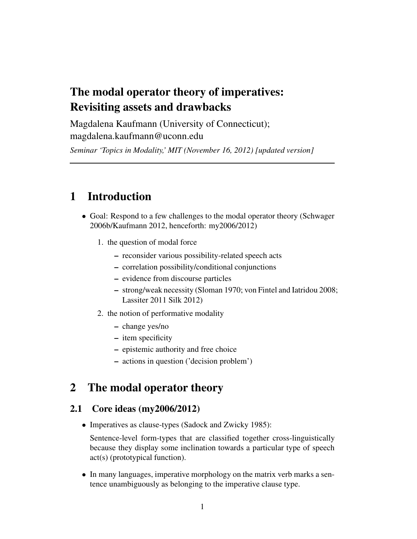# The modal operator theory of imperatives: Revisiting assets and drawbacks

Magdalena Kaufmann (University of Connecticut); magdalena.kaufmann@uconn.edu

*Seminar 'Topics in Modality,' MIT (November 16, 2012) [updated version]*

# 1 Introduction

- Goal: Respond to a few challenges to the modal operator theory (Schwager 2006b/Kaufmann 2012, henceforth: my2006/2012)
	- 1. the question of modal force
		- reconsider various possibility-related speech acts
		- correlation possibility/conditional conjunctions
		- evidence from discourse particles
		- strong/weak necessity (Sloman 1970; von Fintel and Iatridou 2008; Lassiter 2011 Silk 2012)
	- 2. the notion of performative modality
		- change yes/no
		- item specificity
		- epistemic authority and free choice
		- actions in question ('decision problem')

# 2 The modal operator theory

## 2.1 Core ideas (my2006/2012)

• Imperatives as clause-types (Sadock and Zwicky 1985):

Sentence-level form-types that are classified together cross-linguistically because they display some inclination towards a particular type of speech act(s) (prototypical function).

• In many languages, imperative morphology on the matrix verb marks a sentence unambiguously as belonging to the imperative clause type.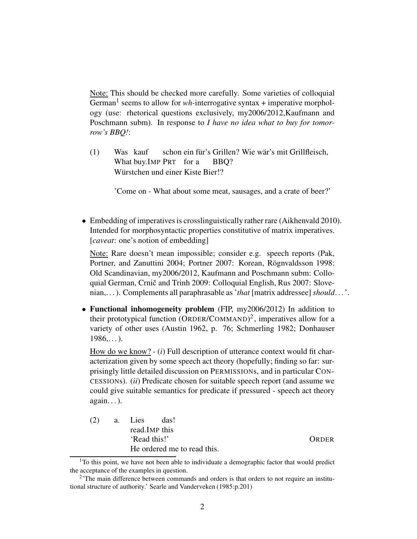Note: This should be checked more carefully. Some varieties of colloquial German<sup>1</sup> seems to allow for *wh*-interrogative syntax + imperative morphology (use: rhetorical questions exclusively, my2006/2012,Kaufmann and Poschmann subm). In response to *I have no idea what to buy for tomorrow's BBQ!*:

(1) Was kauf What buy.IMP PRT for a schon ein für's Grillen? Wie wär's mit Grillfleisch, BBQ? Würstchen und einer Kiste Bier!?

'Come on - What about some meat, sausages, and a crate of beer?'

• Embedding of imperatives is crosslinguistically rather rare (Aikhenvald 2010). Intended for morphosyntactic properties constitutive of matrix imperatives. [*caveat*: one's notion of embedding]

Note: Rare doesn't mean impossible; consider e.g. speech reports (Pak, Portner, and Zanuttini 2004; Portner 2007: Korean, Rögnvaldsson 1998: Old Scandinavian, my2006/2012, Kaufmann and Poschmann subm: Colloquial German, Crnič and Trinh 2009: Colloquial English, Rus 2007: Slovenian,. . . ). Complements all paraphrasable as '*that* [matrix addressee] *should*. . . '.

• Functional inhomogeneity problem (FIP, my2006/2012) In addition to their prototypical function  $(ORDER/COMMAND)^2$ , imperatives allow for a variety of other uses (Austin 1962, p. 76; Schmerling 1982; Donhauser  $1986...$ ).

How do we know? - (*i*) Full description of utterance context would fit characterization given by some speech act theory (hopefully; finding so far: surprisingly little detailed discussion on PERMISSIONs, and in particular CON-CESSIONs). (*ii*) Predicate chosen for suitable speech report (and assume we could give suitable semantics for predicate if pressured - speech act theory  $again...$ ).

(2) a. Lies read.IMP this das! 'Read this!' ORDER He ordered me to read this.

 $1$ To this point, we have not been able to individuate a demographic factor that would predict the acceptance of the examples in question.

<sup>&</sup>lt;sup>2</sup>'The main difference between commands and orders is that orders to not require an institutional structure of authority.' Searle and Vanderveken (1985:p.201)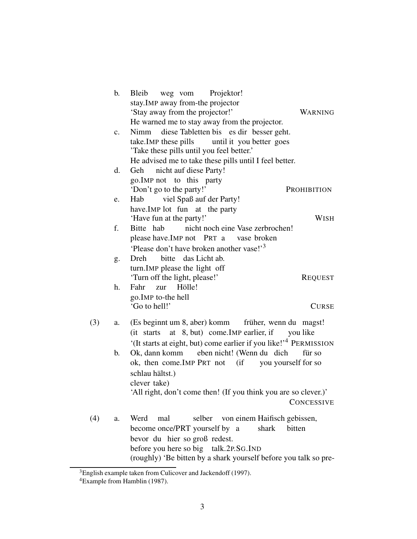|     | b.             | <b>Bleib</b><br>weg vom<br>Projektor!                                         |
|-----|----------------|-------------------------------------------------------------------------------|
|     |                | stay. IMP away from-the projector                                             |
|     |                | 'Stay away from the projector!'<br><b>WARNING</b>                             |
|     |                | He warned me to stay away from the projector.                                 |
|     | $\mathbf{c}$ . | diese Tabletten bis es dir besser geht.<br>Nimm                               |
|     |                | take. IMP these pills until it you better goes                                |
|     |                | 'Take these pills until you feel better.'                                     |
|     |                | He advised me to take these pills until I feel better.                        |
|     | d.             | Geh nicht auf diese Party!                                                    |
|     |                | go. IMP not to this party                                                     |
|     |                | 'Don't go to the party!'<br>PROHIBITION                                       |
|     | e.             | viel Spaß auf der Party!<br>Hab                                               |
|     |                | have.IMP lot fun at the party                                                 |
|     |                | 'Have fun at the party!'<br><b>WISH</b>                                       |
|     | f.             | nicht noch eine Vase zerbrochen!<br>Bitte hab                                 |
|     |                | please have. IMP not PRT a vase broken                                        |
|     |                | 'Please don't have broken another vase!' <sup>3</sup>                         |
|     | g.             | bitte das Licht ab.<br>Dreh                                                   |
|     |                | turn. IMP please the light off                                                |
|     |                | 'Turn off the light, please!'<br><b>REQUEST</b>                               |
|     | h.             | Fahr<br>Hölle!<br>zur                                                         |
|     |                | go. IMP to-the hell                                                           |
|     |                | 'Go to hell!'<br><b>CURSE</b>                                                 |
|     |                |                                                                               |
| (3) | a.             | (Es beginnt um 8, aber) komm früher, wenn du magst!                           |
|     |                | (it starts at 8, but) come. IMP earlier, if you like                          |
|     |                | '(It starts at eight, but) come earlier if you like!' <sup>4</sup> PERMISSION |
|     | b.             | Ok, dann komm eben nicht! (Wenn du dich<br>für so                             |
|     |                | ok, then come. IMP PRT not (if you yourself for so                            |
|     |                | schlau hältst.)                                                               |
|     |                | clever take)                                                                  |
|     |                | 'All right, don't come then! (If you think you are so clever.)'               |
|     |                | <b>CONCESSIVE</b>                                                             |
| (4) | a.             | Werd<br>mal<br>selber von einem Haifisch gebissen,                            |
|     |                | shark<br>become once/PRT yourself by a<br>bitten                              |
|     |                | bevor du hier so groß redest.                                                 |
|     |                | before you here so big talk.2P.SG.IND                                         |
|     |                | (roughly) 'Be bitten by a shark yourself before you talk so pre-              |

 ${}^{3}$ English example taken from Culicover and Jackendoff (1997).

<sup>&</sup>lt;sup>4</sup>Example from Hamblin (1987).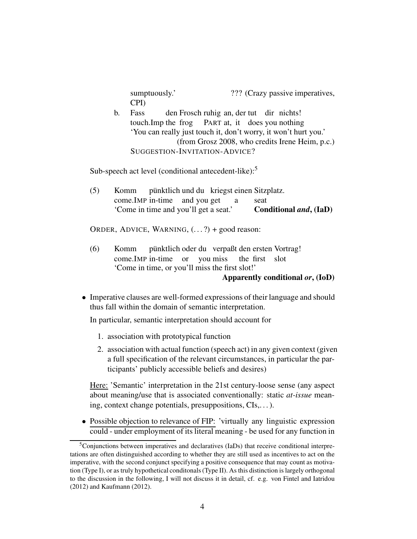sumptuously.' ??? (Crazy passive imperatives, CPI)

b. Fass touch.Imp the frog den Frosch ruhig an, der tut dir nichts! PART at, it does you nothing 'You can really just touch it, don't worry, it won't hurt you.' (from Grosz 2008, who credits Irene Heim, p.c.) SUGGESTION-INVITATION-ADVICE?

Sub-speech act level (conditional antecedent-like):<sup>5</sup>

(5) Komm come.IMP in-time and you get pünktlich und du kriegst einen Sitzplatz. a seat 'Come in time and you'll get a seat.' Conditional *and*, (IaD)

ORDER, ADVICE, WARNING,  $(...?)$  + good reason:

 $(6)$  Komm come.IMP in-time or you miss pünktlich oder du verpaßt den ersten Vortrag! the first slot 'Come in time, or you'll miss the first slot!'

#### Apparently conditional *or*, (IoD)

• Imperative clauses are well-formed expressions of their language and should thus fall within the domain of semantic interpretation.

In particular, semantic interpretation should account for

- 1. association with prototypical function
- 2. association with actual function (speech act) in any given context (given a full specification of the relevant circumstances, in particular the participants' publicly accessible beliefs and desires)

Here: 'Semantic' interpretation in the 21st century-loose sense (any aspect about meaning/use that is associated conventionally: static *at-issue* meaning, context change potentials, presuppositions, CIs,. . .).

• Possible objection to relevance of FIP: 'virtually any linguistic expression could - under employment of its literal meaning - be used for any function in

<sup>&</sup>lt;sup>5</sup>Conjunctions between imperatives and declaratives (IaDs) that receive conditional interpretations are often distinguished according to whether they are still used as incentives to act on the imperative, with the second conjunct specifying a positive consequence that may count as motivation (Type I), or as truly hypothetical conditonals (Type II). As this distinction is largely orthogonal to the discussion in the following, I will not discuss it in detail, cf. e.g. von Fintel and Iatridou (2012) and Kaufmann (2012).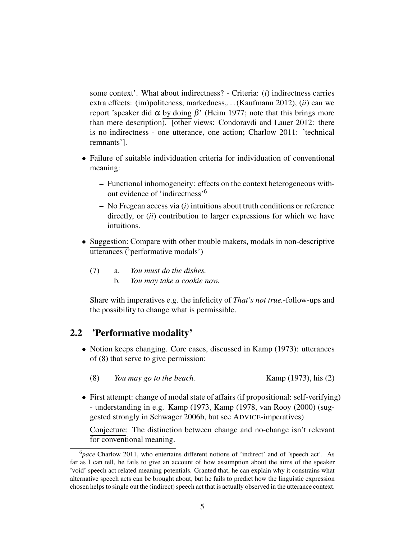some context'. What about indirectness? - Criteria: (*i*) indirectness carries extra effects: (im)politeness, markedness,. . . (Kaufmann 2012), (*ii*) can we report 'speaker did α by doing  $β'$  (Heim 1977; note that this brings more than mere description). [other views: Condoravdi and Lauer 2012: there is no indirectness - one utterance, one action; Charlow 2011: 'technical remnants'].

- Failure of suitable individuation criteria for individuation of conventional meaning:
	- Functional inhomogeneity: effects on the context heterogeneous without evidence of 'indirectness'<sup>6</sup>
	- No Fregean access via (*i*) intuitions about truth conditions or reference directly, or (*ii*) contribution to larger expressions for which we have intuitions.
- Suggestion: Compare with other trouble makers, modals in non-descriptive utterances ('performative modals')
	- (7) a. *You must do the dishes.* b. *You may take a cookie now.*

Share with imperatives e.g. the infelicity of *That's not true.*-follow-ups and the possibility to change what is permissible.

## 2.2 'Performative modality'

- Notion keeps changing. Core cases, discussed in Kamp (1973): utterances of (8) that serve to give permission:
	- (8) *You may go to the beach.* Kamp (1973), his (2)
- First attempt: change of modal state of affairs (if propositional: self-verifying) - understanding in e.g. Kamp (1973, Kamp (1978, van Rooy (2000) (suggested strongly in Schwager 2006b, but see ADVICE-imperatives)

Conjecture: The distinction between change and no-change isn't relevant for conventional meaning.

<sup>6</sup>*pace* Charlow 2011, who entertains different notions of 'indirect' and of 'speech act'. As far as I can tell, he fails to give an account of how assumption about the aims of the speaker 'void' speech act related meaning potentials. Granted that, he can explain why it constrains what alternative speech acts can be brought about, but he fails to predict how the linguistic expression chosen helps to single out the (indirect) speech act that is actually observed in the utterance context.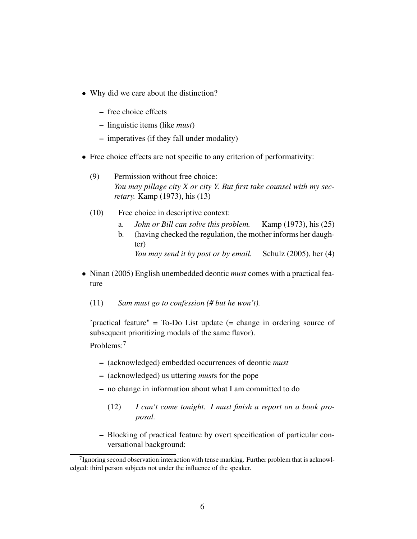- Why did we care about the distinction?
	- free choice effects
	- linguistic items (like *must*)
	- imperatives (if they fall under modality)
- Free choice effects are not specific to any criterion of performativity:
	- (9) Permission without free choice: *You may pillage city X or city Y. But first take counsel with my secretary.* Kamp (1973), his (13)
	- (10) Free choice in descriptive context:
		- a. *John or Bill can solve this problem.* Kamp (1973), his (25)
		- b. (having checked the regulation, the mother informs her daughter) *You may send it by post or by email.* Schulz (2005), her (4)
- Ninan (2005) English unembedded deontic *must* comes with a practical feature
	- (11) *Sam must go to confession (# but he won't).*

'practical feature" = To-Do List update (= change in ordering source of subsequent prioritizing modals of the same flavor).

Problems:<sup>7</sup>

- (acknowledged) embedded occurrences of deontic *must*
- (acknowledged) us uttering *must*s for the pope
- no change in information about what I am committed to do
	- (12) *I can't come tonight. I must finish a report on a book proposal.*
- Blocking of practical feature by overt specification of particular conversational background:

<sup>&</sup>lt;sup>7</sup> Ignoring second observation: interaction with tense marking. Further problem that is acknowledged: third person subjects not under the influence of the speaker.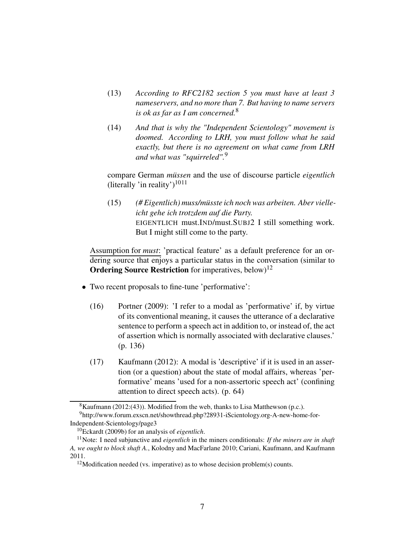- (13) *According to RFC2182 section 5 you must have at least 3 nameservers, and no more than 7. But having to name servers is ok as far as I am concerned.*<sup>8</sup>
- (14) *And that is why the "Independent Scientology" movement is doomed. According to LRH, you must follow what he said exactly, but there is no agreement on what came from LRH and what was "squirreled".*<sup>9</sup>

compare German *müssen* and the use of discourse particle *eigentlich* (literally 'in reality')<sup>1011</sup>

(15) *(# Eigentlich) muss/müsste ich noch was arbeiten. Aber vielleicht gehe ich trotzdem auf die Party.* EIGENTLICH must.IND/must.SUBJ2 I still something work. But I might still come to the party.

Assumption for *must*: 'practical feature' as a default preference for an ordering source that enjoys a particular status in the conversation (similar to **Ordering Source Restriction** for imperatives, below)<sup>12</sup>

- Two recent proposals to fine-tune 'performative':
	- (16) Portner (2009): 'I refer to a modal as 'performative' if, by virtue of its conventional meaning, it causes the utterance of a declarative sentence to perform a speech act in addition to, or instead of, the act of assertion which is normally associated with declarative clauses.' (p. 136)
	- (17) Kaufmann (2012): A modal is 'descriptive' if it is used in an assertion (or a question) about the state of modal affairs, whereas 'performative' means 'used for a non-assertoric speech act' (confining attention to direct speech acts). (p. 64)

 ${}^{8}$ Kaufmann (2012:(43)). Modified from the web, thanks to Lisa Matthewson (p.c.).

<sup>9</sup>http://www.forum.exscn.net/showthread.php?28931-iScientology.org-A-new-home-for-Independent-Scientology/page3

<sup>10</sup>Eckardt (2009b) for an analysis of *eigentlich*.

<sup>11</sup>Note: I need subjunctive and *eigentlich* in the miners conditionals: *If the miners are in shaft A, we ought to block shaft A.*, Kolodny and MacFarlane 2010; Cariani, Kaufmann, and Kaufmann 2011.

 $12$ Modification needed (vs. imperative) as to whose decision problem(s) counts.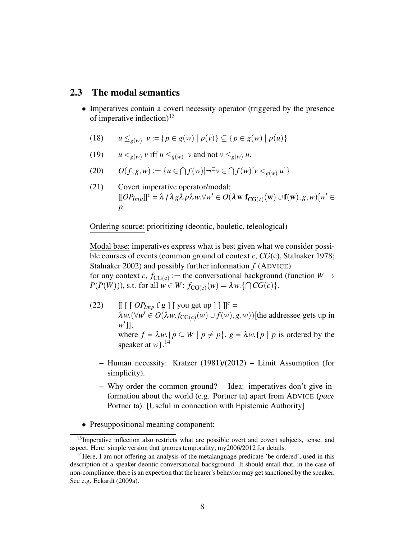#### 2.3 The modal semantics

- Imperatives contain a covert necessity operator (triggered by the presence of imperative inflection)<sup>13</sup>
	- (18) *u* ≤*g*(*w*) *v* := {*p* ∈ *g*(*w*) | *p*(*v*)} ⊆ {*p* ∈ *g*(*w*) | *p*(*u*)}
	- (19)  $u <_{g(w)} v$  iff  $u \leq_{g(w)} v$  and not  $v \leq_{g(w)} u$ .
	- (20)  $O(f, g, w) := \{u \in \bigcap f(w) | \neg \exists v \in \bigcap f(w) [v <_{g(w)} u] \}$
	- (21) Covert imperative operator/modal:  $\llbracket OP_{Imp} \rrbracket^c = \lambda f \lambda g \lambda p \lambda w. \forall w' \in O(\lambda \mathbf{w}. \mathbf{f}_{CG(c)}(\mathbf{w}) \cup \mathbf{f}(\mathbf{w}), g, w) [w' \in$ *p*]

Ordering source: prioritizing (deontic, bouletic, teleological)

Modal base: imperatives express what is best given what we consider possible courses of events (common ground of context *c*, *CG*(c), Stalnaker 1978; Stalnaker 2002) and possibly further information *f* (ADVICE) for any context *c*,  $f_{CG(c)} :=$  the conversational background (function  $W \rightarrow$  $P(P(W))$ ), s.t. for all  $w \in W$ :  $f_{CG(c)}(w) = \lambda w$ . { $\bigcap CG(c)$  }.

- (22)  $\left[\left[\right[\right] [ O P_{Imp} f g ] [ \text{ you get up } ] ] \right] \right]^{c} =$  $\lambda w.(\forall w' \in O(\lambda w.f_{CG(c)}(w) \cup f(w), g, w))$ [the addressee gets up in *w* ]], ′ where  $f = \lambda w$ . { $p \subseteq W \mid p \neq p$ },  $g = \lambda w$ . { $p \mid p$  is ordered by the speaker at *w*}.<sup>14</sup>
	- Human necessity: Kratzer (1981)/(2012) + Limit Assumption (for simplicity).
	- Why order the common ground? Idea: imperatives don't give information about the world (e.g. Portner ta) apart from ADVICE (*pace* Portner ta). [Useful in connection with Epistemic Authority]
- Presuppositional meaning component:

 $13$ Imperative inflection also restricts what are possible overt and covert subjects, tense, and aspect. Here: simple version that ignores temporality; my2006/2012 for details.

 $<sup>14</sup>$  Here, I am not offering an analysis of the metalanguage predicate 'be ordered', used in this</sup> description of a speaker deontic conversational background. It should entail that, in the case of non-compliance, there is an expection that the hearer's behavior may get sanctioned by the speaker. See e.g. Eckardt (2009a).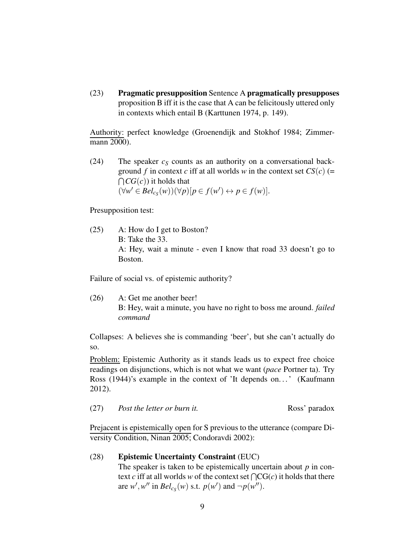(23) Pragmatic presupposition Sentence A pragmatically presupposes proposition B iff it is the case that A can be felicitously uttered only in contexts which entail B (Karttunen 1974, p. 149).

Authority: perfect knowledge (Groenendijk and Stokhof 1984; Zimmermann 2000).

(24) The speaker  $c<sub>S</sub>$  counts as an authority on a conversational background *f* in context *c* iff at all worlds *w* in the context set  $CS(c)$  (=  $\bigcap CG(c))$  it holds that  $(\forall w' \in Bel_{c_S}(w))(\forall p)[p \in f(w') \leftrightarrow p \in f(w)].$ 

Presupposition test:

(25) A: How do I get to Boston? B: Take the 33. A: Hey, wait a minute - even I know that road 33 doesn't go to Boston.

Failure of social vs. of epistemic authority?

(26) A: Get me another beer! B: Hey, wait a minute, you have no right to boss me around. *failed command*

Collapses: A believes she is commanding 'beer', but she can't actually do so.

Problem: Epistemic Authority as it stands leads us to expect free choice readings on disjunctions, which is not what we want (*pace* Portner ta). Try Ross (1944)'s example in the context of 'It depends on...' (Kaufmann 2012).

(27) *Post the letter or burn it.* Ross' paradox

Prejacent is epistemically open for S previous to the utterance (compare Diversity Condition, Ninan 2005; Condoravdi 2002):

#### (28) Epistemic Uncertainty Constraint (EUC)

The speaker is taken to be epistemically uncertain about *p* in context *c* iff at all worlds *w* of the context set  $\bigcap CG(c)$  it holds that there are  $w'$ ,  $w''$  in  $Bel_{c_S}(w)$  s.t.  $p(w')$  and  $\neg p(w'')$ .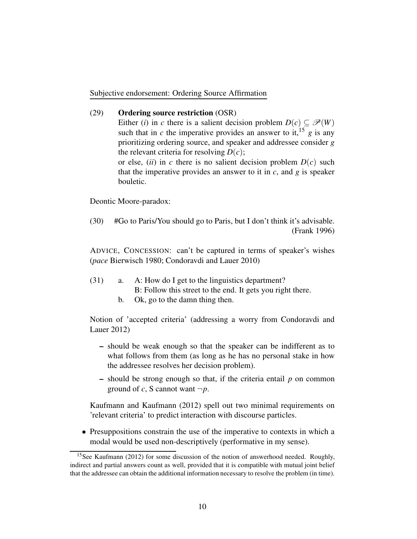Subjective endorsement: Ordering Source Affirmation

#### (29) Ordering source restriction (OSR)

Either (*i*) in *c* there is a salient decision problem  $D(c) \subseteq \mathcal{P}(W)$ such that in *c* the imperative provides an answer to it, <sup>15</sup> *g* is any prioritizing ordering source, and speaker and addressee consider *g* the relevant criteria for resolving  $D(c)$ ;

or else, (*ii*) in *c* there is no salient decision problem  $D(c)$  such that the imperative provides an answer to it in  $c$ , and  $g$  is speaker bouletic.

Deontic Moore-paradox:

(30) #Go to Paris/You should go to Paris, but I don't think it's advisable. (Frank 1996)

ADVICE, CONCESSION: can't be captured in terms of speaker's wishes (*pace* Bierwisch 1980; Condoravdi and Lauer 2010)

- (31) a. A: How do I get to the linguistics department?
	- B: Follow this street to the end. It gets you right there.
	- b. Ok, go to the damn thing then.

Notion of 'accepted criteria' (addressing a worry from Condoravdi and Lauer 2012)

- should be weak enough so that the speaker can be indifferent as to what follows from them (as long as he has no personal stake in how the addressee resolves her decision problem).
- should be strong enough so that, if the criteria entail *p* on common ground of *c*, S cannot want  $\neg p$ .

Kaufmann and Kaufmann (2012) spell out two minimal requirements on 'relevant criteria' to predict interaction with discourse particles.

• Presuppositions constrain the use of the imperative to contexts in which a modal would be used non-descriptively (performative in my sense).

<sup>&</sup>lt;sup>15</sup>See Kaufmann (2012) for some discussion of the notion of answerhood needed. Roughly, indirect and partial answers count as well, provided that it is compatible with mutual joint belief that the addressee can obtain the additional information necessary to resolve the problem (in time).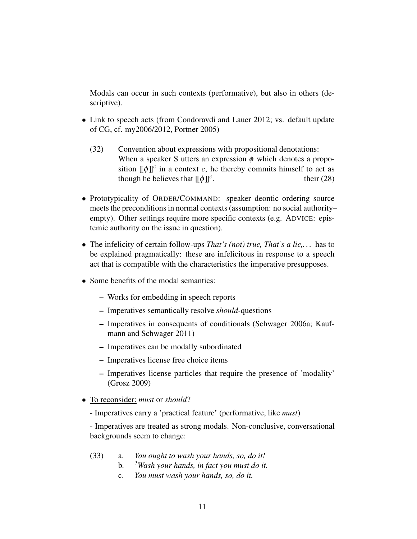Modals can occur in such contexts (performative), but also in others (descriptive).

- Link to speech acts (from Condoravdi and Lauer 2012; vs. default update of CG, cf. my2006/2012, Portner 2005)
	- (32) Convention about expressions with propositional denotations: When a speaker S utters an expression  $\phi$  which denotes a proposition  $[\![\phi]\!]^c$  in a context *c*, he thereby commits himself to act as though he believes that  $[\![\phi]\!]^c$ . their  $(28)$
- Prototypicality of ORDER/COMMAND: speaker deontic ordering source meets the preconditions in normal contexts (assumption: no social authority– empty). Other settings require more specific contexts (e.g. ADVICE: epistemic authority on the issue in question).
- The infelicity of certain follow-ups *That's (not) true, That's a lie,. . .* has to be explained pragmatically: these are infelicitous in response to a speech act that is compatible with the characteristics the imperative presupposes.
- Some benefits of the modal semantics:
	- Works for embedding in speech reports
	- Imperatives semantically resolve *should-*questions
	- Imperatives in consequents of conditionals (Schwager 2006a; Kaufmann and Schwager 2011)
	- Imperatives can be modally subordinated
	- Imperatives license free choice items
	- Imperatives license particles that require the presence of 'modality' (Grosz 2009)
- To reconsider: *must* or *should*?
	- Imperatives carry a 'practical feature' (performative, like *must*)

- Imperatives are treated as strong modals. Non-conclusive, conversational backgrounds seem to change:

- (33) a. *You ought to wash your hands, so, do it!*
	- b. ?*Wash your hands, in fact you must do it.*
	- c. *You must wash your hands, so, do it.*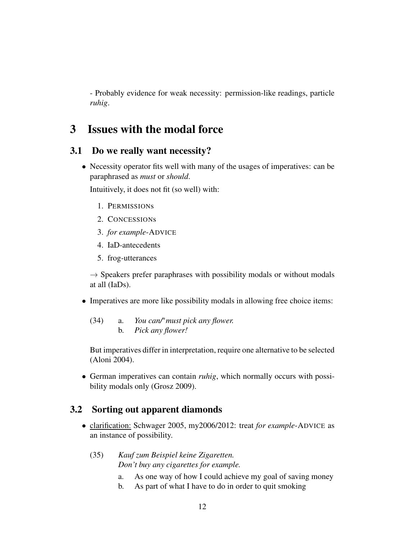- Probably evidence for weak necessity: permission-like readings, particle *ruhig*.

## 3 Issues with the modal force

### 3.1 Do we really want necessity?

• Necessity operator fits well with many of the usages of imperatives: can be paraphrased as *must* or *should*.

Intuitively, it does not fit (so well) with:

- 1. PERMISSIONs
- 2. CONCESSIONs
- 3. *for example*-ADVICE
- 4. IaD-antecedents
- 5. frog-utterances

 $\rightarrow$  Speakers prefer paraphrases with possibility modals or without modals at all (IaDs).

- Imperatives are more like possibility modals in allowing free choice items:
	- (34) a. *You can/*∗*must pick any flower.* b. *Pick any flower!*

But imperatives differ in interpretation, require one alternative to be selected (Aloni 2004).

• German imperatives can contain *ruhig*, which normally occurs with possibility modals only (Grosz 2009).

### 3.2 Sorting out apparent diamonds

- clarification: Schwager 2005, my2006/2012: treat *for example*-ADVICE as an instance of possibility.
	- (35) *Kauf zum Beispiel keine Zigaretten. Don't buy any cigarettes for example.*
		- a. As one way of how I could achieve my goal of saving money
		- b. As part of what I have to do in order to quit smoking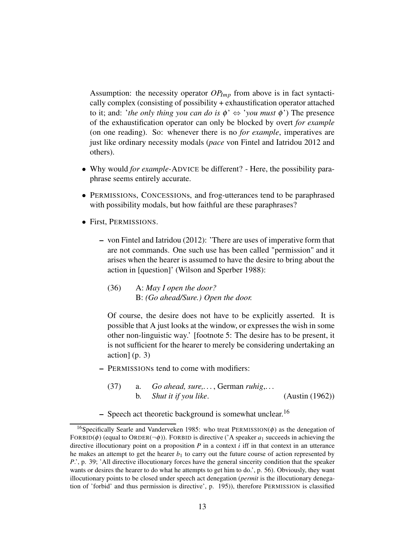Assumption: the necessity operator  $OP_{Imp}$  from above is in fact syntactically complex (consisting of possibility + exhaustification operator attached to it; and: '*the only thing you can do is*  $\phi' \Leftrightarrow$  '*you must*  $\phi'$ ) The presence of the exhaustification operator can only be blocked by overt *for example* (on one reading). So: whenever there is no *for example*, imperatives are just like ordinary necessity modals (*pace* von Fintel and Iatridou 2012 and others).

- Why would *for example-*ADVICE be different? Here, the possibility paraphrase seems entirely accurate.
- PERMISSIONS, CONCESSIONS, and frog-utterances tend to be paraphrased with possibility modals, but how faithful are these paraphrases?
- First, PERMISSIONS.
	- von Fintel and Iatridou (2012): 'There are uses of imperative form that are not commands. One such use has been called "permission" and it arises when the hearer is assumed to have the desire to bring about the action in [question]' (Wilson and Sperber 1988):
		- (36) A: *May I open the door?* B: *(Go ahead/Sure.) Open the door.*

Of course, the desire does not have to be explicitly asserted. It is possible that A just looks at the window, or expresses the wish in some other non-linguistic way.' [footnote 5: The desire has to be present, it is not sufficient for the hearer to merely be considering undertaking an action] (p. 3)

- PERMISSIONs tend to come with modifiers:
	- (37) a. *Go ahead, sure,. . .* , German *ruhig*,. . . b. *Shut it if you like*. (Austin (1962))
- Speech act theoretic background is somewhat unclear.<sup>16</sup>

<sup>&</sup>lt;sup>16</sup>Specifically Searle and Vanderveken 1985: who treat PERMISSION( $\phi$ ) as the denegation of FORBID( $\phi$ ) (equal to ORDER( $\neg \phi$ )). FORBID is directive ('A speaker  $a_1$  succeeds in achieving the directive illocutionary point on a proposition  $P$  in a context  $i$  iff in that context in an utterance he makes an attempt to get the hearer  $b_1$  to carry out the future course of action represented by *P*.', p. 39; 'All directive illocutionary forces have the general sincerity condition that the speaker wants or desires the hearer to do what he attempts to get him to do.', p. 56). Obviously, they want illocutionary points to be closed under speech act denegation (*permit* is the illocutionary denegation of 'forbid' and thus permission is directive', p. 195)), therefore PERMISSION is classified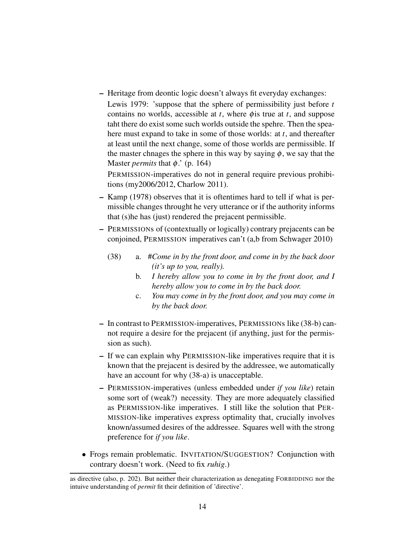– Heritage from deontic logic doesn't always fit everyday exchanges:

Lewis 1979: 'suppose that the sphere of permissibility just before *t* contains no worlds, accessible at *t*, where φis true at *t*, and suppose taht there do exist some such worlds outside the spehre. Then the speahere must expand to take in some of those worlds: at *t*, and thereafter at least until the next change, some of those worlds are permissible. If the master chnages the sphere in this way by saying  $\phi$ , we say that the Master *permits* that  $\phi$ . (p. 164)

PERMISSION-imperatives do not in general require previous prohibitions (my2006/2012, Charlow 2011).

- Kamp (1978) observes that it is oftentimes hard to tell if what is permissible changes throught he very utterance or if the authority informs that (s)he has (just) rendered the prejacent permissible.
- PERMISSIONs of (contextually or logically) contrary prejacents can be conjoined, PERMISSION imperatives can't (a,b from Schwager 2010)
	- (38) a. #*Come in by the front door, and come in by the back door (it's up to you, really).*
		- b. *I hereby allow you to come in by the front door, and I hereby allow you to come in by the back door.*
		- c. *You may come in by the front door, and you may come in by the back door.*
- In contrast to PERMISSION-imperatives, PERMISSIONs like (38-b) cannot require a desire for the prejacent (if anything, just for the permission as such).
- If we can explain why PERMISSION-like imperatives require that it is known that the prejacent is desired by the addressee, we automatically have an account for why (38-a) is unacceptable.
- PERMISSION-imperatives (unless embedded under *if you like*) retain some sort of (weak?) necessity. They are more adequately classified as PERMISSION-like imperatives. I still like the solution that PER-MISSION-like imperatives express optimality that, crucially involves known/assumed desires of the addressee. Squares well with the strong preference for *if you like*.
- Frogs remain problematic. INVITATION/SUGGESTION? Conjunction with contrary doesn't work. (Need to fix *ruhig*.)

as directive (also, p. 202). But neither their characterization as denegating FORBIDDING nor the intuive understanding of *permit* fit their definition of 'directive'.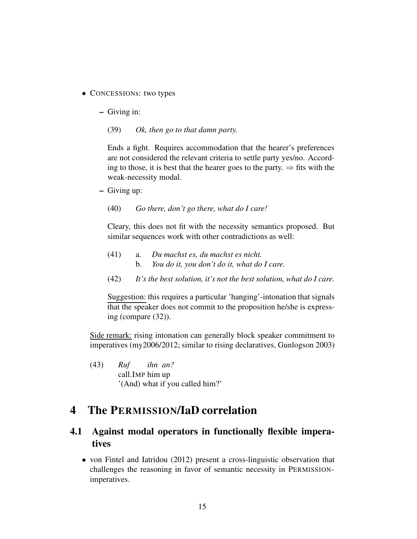- CONCESSIONs: two types
	- Giving in:
		- (39) *Ok, then go to that damn party.*

Ends a fight. Requires accommodation that the hearer's preferences are not considered the relevant criteria to settle party yes/no. According to those, it is best that the hearer goes to the party.  $\Rightarrow$  fits with the weak-necessity modal.

- Giving up:
	- (40) *Go there, don't go there, what do I care!*

Cleary, this does not fit with the necessity semantics proposed. But similar sequences work with other contradictions as well:

- (41) a. *Du machst es, du machst es nicht.* b. *You do it, you don't do it, what do I care.*
- (42) *It's the best solution, it's not the best solution, what do I care.*

Suggestion: this requires a particular 'hanging'-intonation that signals that the speaker does not commit to the proposition he/she is expressing (compare (32)).

Side remark: rising intonation can generally block speaker commitment to imperatives (my2006/2012; similar to rising declaratives, Gunlogson 2003)

(43) *Ruf* call.IMP him up *ihn an?* '(And) what if you called him?'

## 4 The PERMISSION/IaD correlation

## 4.1 Against modal operators in functionally flexible imperatives

• von Fintel and Iatridou (2012) present a cross-linguistic observation that challenges the reasoning in favor of semantic necessity in PERMISSIONimperatives.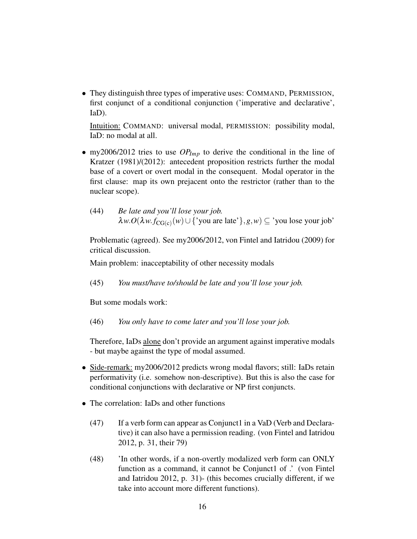• They distinguish three types of imperative uses: COMMAND, PERMISSION, first conjunct of a conditional conjunction ('imperative and declarative', IaD).

Intuition: COMMAND: universal modal, PERMISSION: possibility modal, IaD: no modal at all.

- my2006/2012 tries to use *OPImp* to derive the conditional in the line of Kratzer (1981)/(2012): antecedent proposition restricts further the modal base of a covert or overt modal in the consequent. Modal operator in the first clause: map its own prejacent onto the restrictor (rather than to the nuclear scope).
	- (44) *Be late and you'll lose your job.*  $\lambda w. O(\lambda w.f_{CG(c)}(w) \cup \{ 'you \text{ are late'} \}, g, w) \subseteq 'you \text{ lose your job' }$

Problematic (agreed). See my2006/2012, von Fintel and Iatridou (2009) for critical discussion.

Main problem: inacceptability of other necessity modals

(45) *You must/have to/should be late and you'll lose your job.*

But some modals work:

(46) *You only have to come later and you'll lose your job.*

Therefore, IaDs alone don't provide an argument against imperative modals - but maybe against the type of modal assumed.

- Side-remark: my2006/2012 predicts wrong modal flavors; still: IaDs retain performativity (i.e. somehow non-descriptive). But this is also the case for conditional conjunctions with declarative or NP first conjuncts.
- The correlation: IaDs and other functions
	- (47) If a verb form can appear as Conjunct1 in a VaD (Verb and Declarative) it can also have a permission reading. (von Fintel and Iatridou 2012, p. 31, their 79)
	- (48) 'In other words, if a non-overtly modalized verb form can ONLY function as a command, it cannot be Conjunct1 of .' (von Fintel and Iatridou 2012, p. 31)- (this becomes crucially different, if we take into account more different functions).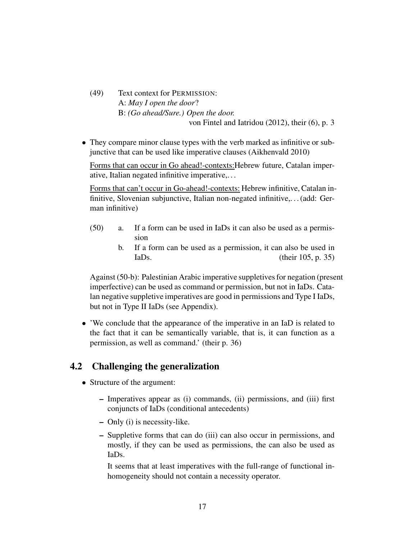- (49) Text context for PERMISSION: A: *May I open the door*? B: *(Go ahead/Sure.) Open the door.* von Fintel and Iatridou (2012), their (6), p. 3
- They compare minor clause types with the verb marked as infinitive or subjunctive that can be used like imperative clauses (Aikhenvald 2010)

Forms that can occur in Go ahead!-contexts:Hebrew future, Catalan imperative, Italian negated infinitive imperative,. . .

Forms that can't occur in Go-ahead!-contexts: Hebrew infinitive, Catalan infinitive, Slovenian subjunctive, Italian non-negated infinitive,. . . (add: German infinitive)

- (50) a. If a form can be used in IaDs it can also be used as a permission
	- b. If a form can be used as a permission, it can also be used in  $IaDs.$  (their 105, p. 35)

Against (50-b): Palestinian Arabic imperative suppletives for negation (present imperfective) can be used as command or permission, but not in IaDs. Catalan negative suppletive imperatives are good in permissions and Type I IaDs, but not in Type II IaDs (see Appendix).

• 'We conclude that the appearance of the imperative in an IaD is related to the fact that it can be semantically variable, that is, it can function as a permission, as well as command.' (their p. 36)

### 4.2 Challenging the generalization

- Structure of the argument:
	- Imperatives appear as (i) commands, (ii) permissions, and (iii) first conjuncts of IaDs (conditional antecedents)
	- Only (i) is necessity-like.
	- Suppletive forms that can do (iii) can also occur in permissions, and mostly, if they can be used as permissions, the can also be used as IaDs.

It seems that at least imperatives with the full-range of functional inhomogeneity should not contain a necessity operator.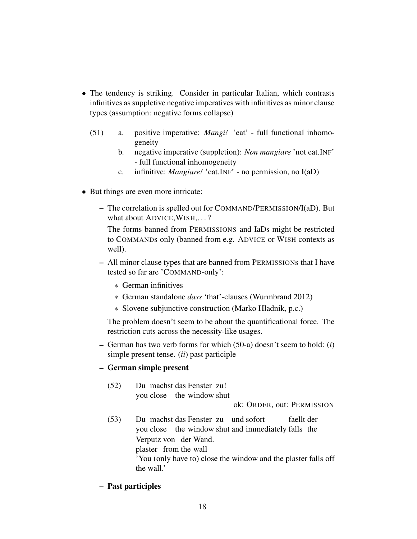- The tendency is striking. Consider in particular Italian, which contrasts infinitives as suppletive negative imperatives with infinitives as minor clause types (assumption: negative forms collapse)
	- (51) a. positive imperative: *Mangi!* 'eat' full functional inhomogeneity
		- b. negative imperative (suppletion): *Non mangiare* 'not eat.INF' - full functional inhomogeneity
		- c. infinitive: *Mangiare!* 'eat.INF' no permission, no I(aD)
- But things are even more intricate:
	- The correlation is spelled out for COMMAND/PERMISSION/I(aD). But what about ADVICE, WISH, ...?

The forms banned from PERMISSIONS and IaDs might be restricted to COMMANDs only (banned from e.g. ADVICE or WISH contexts as well).

- All minor clause types that are banned from PERMISSIONs that I have tested so far are 'COMMAND-only':
	- ∗ German infinitives
	- ∗ German standalone *dass* 'that'-clauses (Wurmbrand 2012)
	- ∗ Slovene subjunctive construction (Marko Hladnik, p.c.)

The problem doesn't seem to be about the quantificational force. The restriction cuts across the necessity-like usages.

– German has two verb forms for which (50-a) doesn't seem to hold: (*i*) simple present tense. (*ii*) past participle

#### – German simple present

 $(52)$ you close the window shut machst das Fenster zu!

ok: ORDER, out: PERMISSION

 $(53)$ you close the window shut and immediately falls the machst das Fenster zu und sofort faellt der Verputz von der Wand. plaster from the wall 'You (only have to) close the window and the plaster falls off the wall.'

#### – Past participles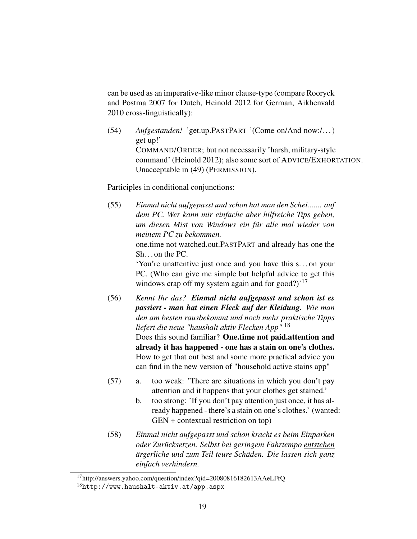can be used as an imperative-like minor clause-type (compare Rooryck and Postma 2007 for Dutch, Heinold 2012 for German, Aikhenvald 2010 cross-linguistically):

(54) *Aufgestanden!* 'get.up.PASTPART '(Come on/And now:/. . . ) get up!' COMMAND/ORDER; but not necessarily 'harsh, military-style command' (Heinold 2012); also some sort of ADVICE/EXHORTATION. Unacceptable in (49) (PERMISSION).

Participles in conditional conjunctions:

(55) *Einmal nicht aufgepasst und schon hat man den Schei....... auf dem PC. Wer kann mir einfache aber hilfreiche Tips geben, um diesen Mist von Windows ein für alle mal wieder von meinem PC zu bekommen.* one.time not watched.out.PASTPART and already has one the Sh. . . on the PC. 'You're unattentive just once and you have this s. . . on your PC. (Who can give me simple but helpful advice to get this windows crap off my system again and for good?)<sup>'17</sup>

- (56) *Kennt Ihr das? Einmal nicht aufgepasst und schon ist es passiert - man hat einen Fleck auf der Kleidung. Wie man den am besten rausbekommt und noch mehr praktische Tipps liefert die neue "haushalt aktiv Flecken App"* <sup>18</sup> Does this sound familiar? One.time not paid.attention and already it has happened - one has a stain on one's clothes. How to get that out best and some more practical advice you can find in the new version of "household active stains app"
- (57) a. too weak: 'There are situations in which you don't pay attention and it happens that your clothes get stained.'
	- b. too strong: 'If you don't pay attention just once, it has already happened - there's a stain on one's clothes.' (wanted: GEN + contextual restriction on top)
- (58) *Einmal nicht aufgepasst und schon kracht es beim Einparken oder Zurücksetzen. Selbst bei geringem Fahrtempo entstehen ärgerliche und zum Teil teure Schäden. Die lassen sich ganz einfach verhindern.*

<sup>17</sup>http://answers.yahoo.com/question/index?qid=20080816182613AAeLFfQ

<sup>18</sup>http://www.haushalt-aktiv.at/app.aspx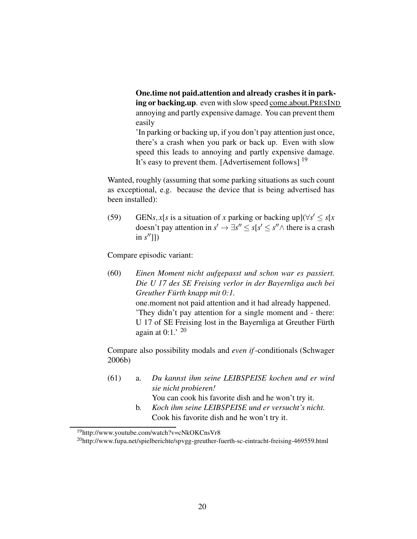One.time not paid.attention and already crashes it in parking or backing.up. even with slow speed come.about.PRESIND annoying and partly expensive damage. You can prevent them easily

'In parking or backing up, if you don't pay attention just once, there's a crash when you park or back up. Even with slow speed this leads to annoying and partly expensive damage. It's easy to prevent them. [Advertisement follows]<sup>19</sup>

Wanted, roughly (assuming that some parking situations as such count as exceptional, e.g. because the device that is being advertised has been installed):

(59) GEN*s*, *x*[*s* is a situation of *x* parking or backing up]( $\forall s' \leq s[x$ doesn't pay attention in  $s' \to \exists s'' \le s[s' \le s'' \land$  there is a crash in *s* ′′]])

Compare episodic variant:

(60) *Einen Moment nicht aufgepasst und schon war es passiert. Die U 17 des SE Freising verlor in der Bayernliga auch bei Greuther Fürth knapp mit 0:1.* one.moment not paid attention and it had already happened. 'They didn't pay attention for a single moment and - there: U 17 of SE Freising lost in the Bayernliga at Greuther Fürth again at  $0:1$ .' <sup>20</sup>

Compare also possibility modals and *even if*-conditionals (Schwager 2006b)

- (61) a. *Du kannst ihm seine LEIBSPEISE kochen und er wird sie nicht probieren!* You can cook his favorite dish and he won't try it.
	- b. *Koch ihm seine LEIBSPEISE und er versucht's nicht.* Cook his favorite dish and he won't try it.

<sup>19</sup>http://www.youtube.com/watch?v=cNkOKCnsVr8

<sup>20</sup>http://www.fupa.net/spielberichte/spvgg-greuther-fuerth-sc-eintracht-freising-469559.html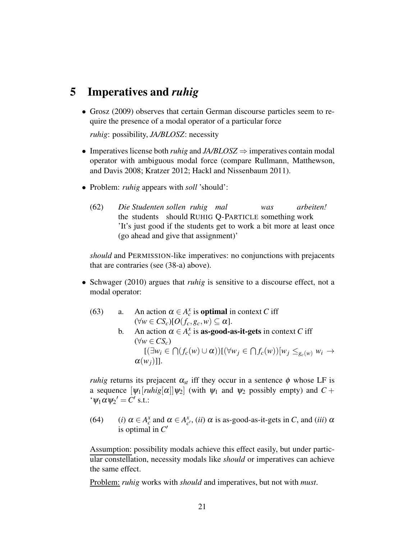## 5 Imperatives and *ruhig*

• Grosz (2009) observes that certain German discourse particles seem to require the presence of a modal operator of a particular force

*ruhig*: possibility, *JA/BLOSZ*: necessity

- Imperatives license both *ruhig* and *JA/BLOSZ* ⇒ imperatives contain modal operator with ambiguous modal force (compare Rullmann, Matthewson, and Davis 2008; Kratzer 2012; Hackl and Nissenbaum 2011).
- Problem: *ruhig* appears with *soll* 'should':
	- $(62)$ the students should RUHIG Q-PARTICLE something work *Studenten sollen ruhig mal was arbeiten!* 'It's just good if the students get to work a bit more at least once (go ahead and give that assignment)'

*should* and PERMISSION-like imperatives: no conjunctions with prejacents that are contraries (see (38-a) above).

- Schwager (2010) argues that *ruhig* is sensitive to a discourse effect, not a modal operator:
	- (63) a. An action  $\alpha \in A_c^x$  is **optimal** in context *C* iff  $(\forall w \in CS_c)[O(f_c, g_c, w) \subseteq \alpha].$ 
		- b. An action  $\alpha \in A_c^x$  is **as-good-as-it-gets** in context *C* iff (∀*w* ∈ *CSc*)  $[(\exists w_i \in \bigcap (f_c(w) \cup \alpha))[(\forall w_j \in \bigcap f_c(w)) [w_j \leq_{g_c(w)} w_i \rightarrow$  $\alpha(w_i)$ ]].

*ruhig* returns its prejacent  $\alpha_{st}$  iff they occur in a sentence  $\phi$  whose LF is a sequence  $[\psi_1[ruhig[\alpha]]\psi_2]$  (with  $\psi_1$  and  $\psi_2$  possibly empty) and  $C +$  $\cdot \psi_1 \alpha \psi_2' = C'$  s.t.:

(64) (*i*)  $\alpha \in A_c^x$  and  $\alpha \in A_c^x$  $\alpha$ <sup>*x*</sup></sup>, (*ii*)  $\alpha$  is as-good-as-it-gets in *C*, and (*iii*)  $\alpha$ is optimal in *C* ′

Assumption: possibility modals achieve this effect easily, but under particular constellation, necessity modals like *should* or imperatives can achieve the same effect.

Problem: *ruhig* works with *should* and imperatives, but not with *must*.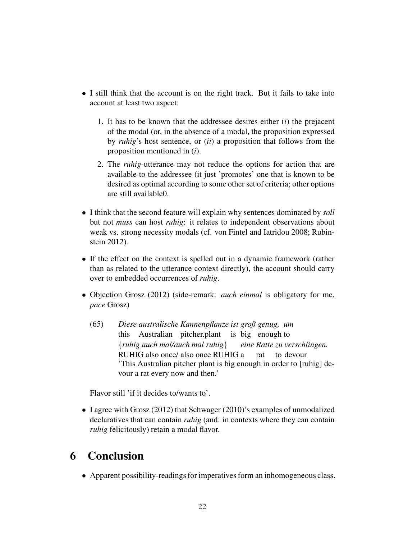- I still think that the account is on the right track. But it fails to take into account at least two aspect:
	- 1. It has to be known that the addressee desires either (*i*) the prejacent of the modal (or, in the absence of a modal, the proposition expressed by *ruhig*'s host sentence, or (*ii*) a proposition that follows from the proposition mentioned in (*i*).
	- 2. The *ruhig*-utterance may not reduce the options for action that are available to the addressee (it just 'promotes' one that is known to be desired as optimal according to some other set of criteria; other options are still available0.
- I think that the second feature will explain why sentences dominated by *soll* but not *muss* can host *ruhig*: it relates to independent observations about weak vs. strong necessity modals (cf. von Fintel and Iatridou 2008; Rubinstein 2012).
- If the effect on the context is spelled out in a dynamic framework (rather than as related to the utterance context directly), the account should carry over to embedded occurrences of *ruhig*.
- Objection Grosz (2012) (side-remark: *auch einmal* is obligatory for me, *pace* Grosz)
	- (65) *Diese australische Kannenpflanze ist groß genug, um* this Australian pitcher.plant is big enough to {*ruhig auch mal/auch mal ruhig*} RUHIG also once/ also once RUHIG a *eine Ratte zu verschlingen.* rat to devour 'This Australian pitcher plant is big enough in order to [ruhig] devour a rat every now and then.'

Flavor still 'if it decides to/wants to'.

• I agree with Grosz (2012) that Schwager (2010)'s examples of unmodalized declaratives that can contain *ruhig* (and: in contexts where they can contain *ruhig* felicitously) retain a modal flavor.

## 6 Conclusion

• Apparent possibility-readings for imperatives form an inhomogeneous class.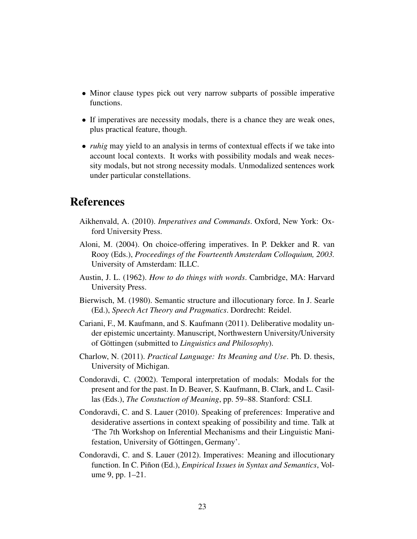- Minor clause types pick out very narrow subparts of possible imperative functions.
- If imperatives are necessity modals, there is a chance they are weak ones, plus practical feature, though.
- *ruhig* may yield to an analysis in terms of contextual effects if we take into account local contexts. It works with possibility modals and weak necessity modals, but not strong necessity modals. Unmodalized sentences work under particular constellations.

## References

- Aikhenvald, A. (2010). *Imperatives and Commands*. Oxford, New York: Oxford University Press.
- Aloni, M. (2004). On choice-offering imperatives. In P. Dekker and R. van Rooy (Eds.), *Proceedings of the Fourteenth Amsterdam Colloquium, 2003.* University of Amsterdam: ILLC.
- Austin, J. L. (1962). *How to do things with words*. Cambridge, MA: Harvard University Press.
- Bierwisch, M. (1980). Semantic structure and illocutionary force. In J. Searle (Ed.), *Speech Act Theory and Pragmatics*. Dordrecht: Reidel.
- Cariani, F., M. Kaufmann, and S. Kaufmann (2011). Deliberative modality under epistemic uncertainty. Manuscript, Northwestern University/University of Göttingen (submitted to *Linguistics and Philosophy*).
- Charlow, N. (2011). *Practical Language: Its Meaning and Use*. Ph. D. thesis, University of Michigan.
- Condoravdi, C. (2002). Temporal interpretation of modals: Modals for the present and for the past. In D. Beaver, S. Kaufmann, B. Clark, and L. Casillas (Eds.), *The Constuction of Meaning*, pp. 59–88. Stanford: CSLI.
- Condoravdi, C. and S. Lauer (2010). Speaking of preferences: Imperative and desiderative assertions in context speaking of possibility and time. Talk at 'The 7th Workshop on Inferential Mechanisms and their Linguistic Manifestation, University of Góttingen, Germany'.
- Condoravdi, C. and S. Lauer (2012). Imperatives: Meaning and illocutionary function. In C. Piñon (Ed.), *Empirical Issues in Syntax and Semantics*, Volume 9, pp. 1–21.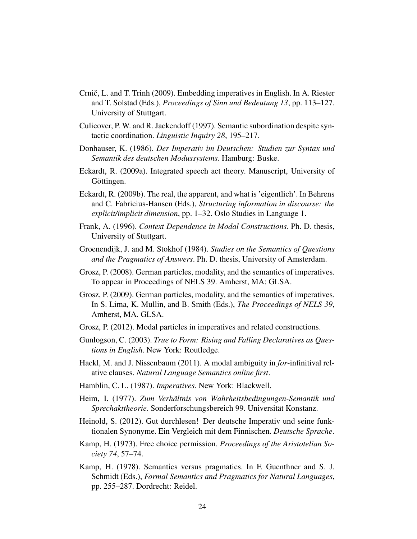- Crnič, L. and T. Trinh (2009). Embedding imperatives in English. In A. Riester and T. Solstad (Eds.), *Proceedings of Sinn und Bedeutung 13*, pp. 113–127. University of Stuttgart.
- Culicover, P. W. and R. Jackendoff (1997). Semantic subordination despite syntactic coordination. *Linguistic Inquiry 28*, 195–217.
- Donhauser, K. (1986). *Der Imperativ im Deutschen: Studien zur Syntax und Semantik des deutschen Modussystems*. Hamburg: Buske.
- Eckardt, R. (2009a). Integrated speech act theory. Manuscript, University of Göttingen.
- Eckardt, R. (2009b). The real, the apparent, and what is 'eigentlich'. In Behrens and C. Fabricius-Hansen (Eds.), *Structuring information in discourse: the explicit/implicit dimension*, pp. 1–32. Oslo Studies in Language 1.
- Frank, A. (1996). *Context Dependence in Modal Constructions*. Ph. D. thesis, University of Stuttgart.
- Groenendijk, J. and M. Stokhof (1984). *Studies on the Semantics of Questions and the Pragmatics of Answers*. Ph. D. thesis, University of Amsterdam.
- Grosz, P. (2008). German particles, modality, and the semantics of imperatives. To appear in Proceedings of NELS 39. Amherst, MA: GLSA.
- Grosz, P. (2009). German particles, modality, and the semantics of imperatives. In S. Lima, K. Mullin, and B. Smith (Eds.), *The Proceedings of NELS 39*, Amherst, MA. GLSA.
- Grosz, P. (2012). Modal particles in imperatives and related constructions.
- Gunlogson, C. (2003). *True to Form: Rising and Falling Declaratives as Questions in English*. New York: Routledge.
- Hackl, M. and J. Nissenbaum (2011). A modal ambiguity in *for*-infinitival relative clauses. *Natural Language Semantics online first*.
- Hamblin, C. L. (1987). *Imperatives*. New York: Blackwell.
- Heim, I. (1977). *Zum Verhältnis von Wahrheitsbedingungen-Semantik und Sprechakttheorie*. Sonderforschungsbereich 99. Universität Konstanz.
- Heinold, S. (2012). Gut durchlesen! Der deutsche Imperativ und seine funktionalen Synonyme. Ein Vergleich mit dem Finnischen. *Deutsche Sprache*.
- Kamp, H. (1973). Free choice permission. *Proceedings of the Aristotelian Society 74*, 57–74.
- Kamp, H. (1978). Semantics versus pragmatics. In F. Guenthner and S. J. Schmidt (Eds.), *Formal Semantics and Pragmatics for Natural Languages*, pp. 255–287. Dordrecht: Reidel.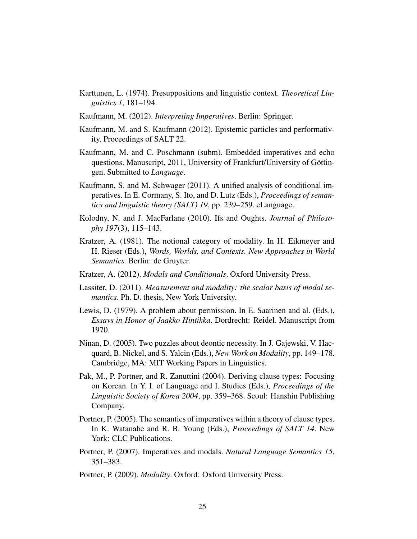- Karttunen, L. (1974). Presuppositions and linguistic context. *Theoretical Linguistics 1*, 181–194.
- Kaufmann, M. (2012). *Interpreting Imperatives*. Berlin: Springer.
- Kaufmann, M. and S. Kaufmann (2012). Epistemic particles and performativity. Proceedings of SALT 22.
- Kaufmann, M. and C. Poschmann (subm). Embedded imperatives and echo questions. Manuscript, 2011, University of Frankfurt/University of Göttingen. Submitted to *Language*.
- Kaufmann, S. and M. Schwager (2011). A unified analysis of conditional imperatives. In E. Cormany, S. Ito, and D. Lutz (Eds.), *Proceedings of semantics and linguistic theory (SALT) 19*, pp. 239–259. eLanguage.
- Kolodny, N. and J. MacFarlane (2010). Ifs and Oughts. *Journal of Philosophy 197*(3), 115–143.
- Kratzer, A. (1981). The notional category of modality. In H. Eikmeyer and H. Rieser (Eds.), *Words, Worlds, and Contexts. New Approaches in World Semantics.* Berlin: de Gruyter.
- Kratzer, A. (2012). *Modals and Conditionals*. Oxford University Press.
- Lassiter, D. (2011). *Measurement and modality: the scalar basis of modal semantics*. Ph. D. thesis, New York University.
- Lewis, D. (1979). A problem about permission. In E. Saarinen and al. (Eds.), *Essays in Honor of Jaakko Hintikka*. Dordrecht: Reidel. Manuscript from 1970.
- Ninan, D. (2005). Two puzzles about deontic necessity. In J. Gajewski, V. Hacquard, B. Nickel, and S. Yalcin (Eds.), *New Work on Modality*, pp. 149–178. Cambridge, MA: MIT Working Papers in Linguistics.
- Pak, M., P. Portner, and R. Zanuttini (2004). Deriving clause types: Focusing on Korean. In Y. I. of Language and I. Studies (Eds.), *Proceedings of the Linguistic Society of Korea 2004*, pp. 359–368. Seoul: Hanshin Publishing Company.
- Portner, P. (2005). The semantics of imperatives within a theory of clause types. In K. Watanabe and R. B. Young (Eds.), *Proceedings of SALT 14*. New York: CLC Publications.
- Portner, P. (2007). Imperatives and modals. *Natural Language Semantics 15*, 351–383.
- Portner, P. (2009). *Modality*. Oxford: Oxford University Press.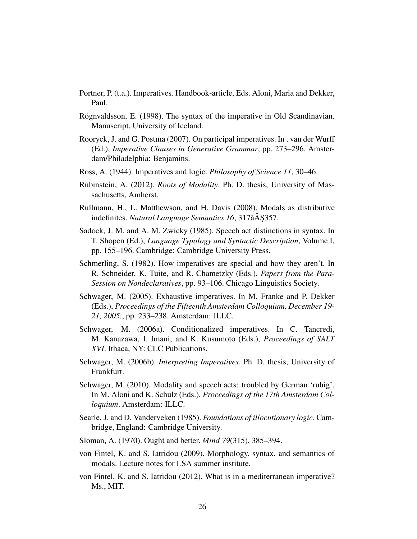- Portner, P. (t.a.). Imperatives. Handbook-article, Eds. Aloni, Maria and Dekker, Paul.
- Rögnvaldsson, E. (1998). The syntax of the imperative in Old Scandinavian. Manuscript, University of Iceland.
- Rooryck, J. and G. Postma (2007). On participal imperatives. In . van der Wurff (Ed.), *Imperative Clauses in Generative Grammar*, pp. 273–296. Amsterdam/Philadelphia: Benjamins.
- Ross, A. (1944). Imperatives and logic. *Philosophy of Science 11*, 30–46.
- Rubinstein, A. (2012). *Roots of Modality*. Ph. D. thesis, University of Massachusetts, Amherst.
- Rullmann, H., L. Matthewson, and H. Davis (2008). Modals as distributive indefinites. *Natural Language Semantics 16*, 317âÅ \$357.
- Sadock, J. M. and A. M. Zwicky (1985). Speech act distinctions in syntax. In T. Shopen (Ed.), *Language Typology and Syntactic Description*, Volume I, pp. 155–196. Cambridge: Cambridge University Press.
- Schmerling, S. (1982). How imperatives are special and how they aren't. In R. Schneider, K. Tuite, and R. Chametzky (Eds.), *Papers from the Para-Session on Nondeclaratives*, pp. 93–106. Chicago Linguistics Society.
- Schwager, M. (2005). Exhaustive imperatives. In M. Franke and P. Dekker (Eds.), *Proceedings of the Fifteenth Amsterdam Colloquium, December 19- 21, 2005.*, pp. 233–238. Amsterdam: ILLC.
- Schwager, M. (2006a). Conditionalized imperatives. In C. Tancredi, M. Kanazawa, I. Imani, and K. Kusumoto (Eds.), *Proceedings of SALT XVI*. Ithaca, NY: CLC Publications.
- Schwager, M. (2006b). *Interpreting Imperatives*. Ph. D. thesis, University of Frankfurt.
- Schwager, M. (2010). Modality and speech acts: troubled by German 'ruhig'. In M. Aloni and K. Schulz (Eds.), *Proceedings of the 17th Amsterdam Colloquium*. Amsterdam: ILLC.
- Searle, J. and D. Vanderveken (1985). *Foundations of illocutionary logic*. Cambridge, England: Cambridge University.
- Sloman, A. (1970). Ought and better. *Mind 79*(315), 385–394.
- von Fintel, K. and S. Iatridou (2009). Morphology, syntax, and semantics of modals. Lecture notes for LSA summer institute.
- von Fintel, K. and S. Iatridou (2012). What is in a mediterranean imperative? Ms., MIT.